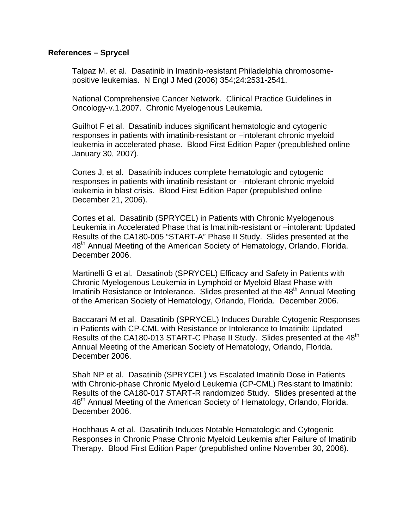## **References – Sprycel**

Talpaz M. et al. Dasatinib in Imatinib-resistant Philadelphia chromosomepositive leukemias. N Engl J Med (2006) 354;24:2531-2541.

 National Comprehensive Cancer Network. Clinical Practice Guidelines in Oncology-v.1.2007. Chronic Myelogenous Leukemia.

Guilhot F et al. Dasatinib induces significant hematologic and cytogenic responses in patients with imatinib-resistant or –intolerant chronic myeloid leukemia in accelerated phase. Blood First Edition Paper (prepublished online January 30, 2007).

Cortes J, et al. Dasatinib induces complete hematologic and cytogenic responses in patients with imatinib-resistant or –intolerant chronic myeloid leukemia in blast crisis. Blood First Edition Paper (prepublished online December 21, 2006).

Cortes et al. Dasatinib (SPRYCEL) in Patients with Chronic Myelogenous Leukemia in Accelerated Phase that is Imatinib-resistant or –intolerant: Updated Results of the CA180-005 "START-A" Phase II Study. Slides presented at the 48<sup>th</sup> Annual Meeting of the American Society of Hematology, Orlando, Florida. December 2006.

Martinelli G et al. Dasatinob (SPRYCEL) Efficacy and Safety in Patients with Chronic Myelogenous Leukemia in Lymphoid or Myeloid Blast Phase with Imatinib Resistance or Intolerance. Slides presented at the  $48<sup>th</sup>$  Annual Meeting of the American Society of Hematology, Orlando, Florida. December 2006.

Baccarani M et al. Dasatinib (SPRYCEL) Induces Durable Cytogenic Responses in Patients with CP-CML with Resistance or Intolerance to Imatinib: Updated Results of the CA180-013 START-C Phase II Study. Slides presented at the 48<sup>th</sup> Annual Meeting of the American Society of Hematology, Orlando, Florida. December 2006.

Shah NP et al. Dasatinib (SPRYCEL) vs Escalated Imatinib Dose in Patients with Chronic-phase Chronic Myeloid Leukemia (CP-CML) Resistant to Imatinib: Results of the CA180-017 START-R randomized Study. Slides presented at the 48<sup>th</sup> Annual Meeting of the American Society of Hematology, Orlando, Florida. December 2006.

Hochhaus A et al. Dasatinib Induces Notable Hematologic and Cytogenic Responses in Chronic Phase Chronic Myeloid Leukemia after Failure of Imatinib Therapy. Blood First Edition Paper (prepublished online November 30, 2006).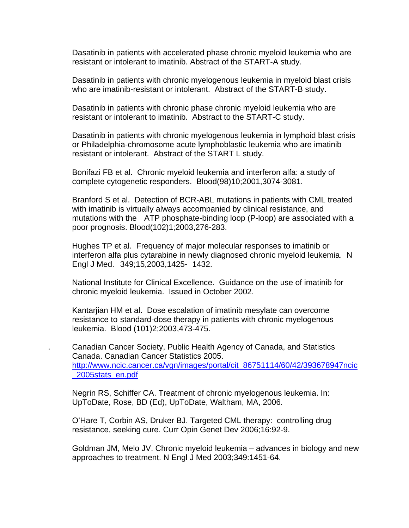Dasatinib in patients with accelerated phase chronic myeloid leukemia who are resistant or intolerant to imatinib. Abstract of the START-A study.

Dasatinib in patients with chronic myelogenous leukemia in myeloid blast crisis who are imatinib-resistant or intolerant. Abstract of the START-B study.

Dasatinib in patients with chronic phase chronic myeloid leukemia who are resistant or intolerant to imatinib. Abstract to the START-C study.

Dasatinib in patients with chronic myelogenous leukemia in lymphoid blast crisis or Philadelphia-chromosome acute lymphoblastic leukemia who are imatinib resistant or intolerant. Abstract of the START L study.

Bonifazi FB et al. Chronic myeloid leukemia and interferon alfa: a study of complete cytogenetic responders. Blood(98)10;2001,3074-3081.

Branford S et al. Detection of BCR-ABL mutations in patients with CML treated with imatinib is virtually always accompanied by clinical resistance, and mutations with the ATP phosphate-binding loop (P-loop) are associated with a poor prognosis. Blood(102)1;2003,276-283.

Hughes TP et al. Frequency of major molecular responses to imatinib or interferon alfa plus cytarabine in newly diagnosed chronic myeloid leukemia. N Engl J Med. 349;15,2003,1425- 1432.

National Institute for Clinical Excellence. Guidance on the use of imatinib for chronic myeloid leukemia. Issued in October 2002.

Kantarjian HM et al. Dose escalation of imatinib mesylate can overcome resistance to standard-dose therapy in patients with chronic myelogenous leukemia. Blood (101)2;2003,473-475.

. Canadian Cancer Society, Public Health Agency of Canada, and Statistics Canada. Canadian Cancer Statistics 2005. http://www.ncic.cancer.ca/vgn/images/portal/cit\_86751114/60/42/393678947ncic \_2005stats\_en.pdf

 Negrin RS, Schiffer CA. Treatment of chronic myelogenous leukemia. In: UpToDate, Rose, BD (Ed), UpToDate, Waltham, MA, 2006.

 O'Hare T, Corbin AS, Druker BJ. Targeted CML therapy: controlling drug resistance, seeking cure. Curr Opin Genet Dev 2006;16:92-9.

 Goldman JM, Melo JV. Chronic myeloid leukemia – advances in biology and new approaches to treatment. N Engl J Med 2003;349:1451-64.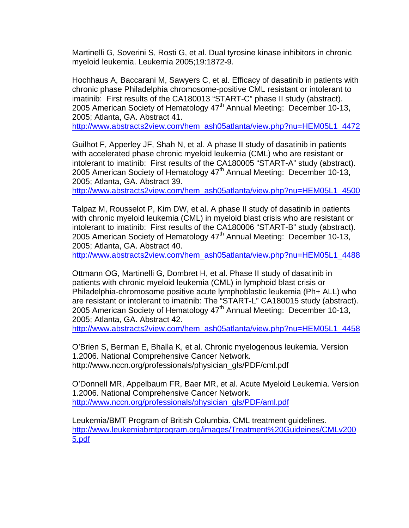Martinelli G, Soverini S, Rosti G, et al. Dual tyrosine kinase inhibitors in chronic myeloid leukemia. Leukemia 2005;19:1872-9.

 Hochhaus A, Baccarani M, Sawyers C, et al. Efficacy of dasatinib in patients with chronic phase Philadelphia chromosome-positive CML resistant or intolerant to imatinib: First results of the CA180013 "START-C" phase II study (abstract). 2005 American Society of Hematology  $47<sup>th</sup>$  Annual Meeting: December 10-13, 2005; Atlanta, GA. Abstract 41.

http://www.abstracts2view.com/hem\_ash05atlanta/view.php?nu=HEM05L1\_4472

 Guilhot F, Apperley JF, Shah N, et al. A phase II study of dasatinib in patients with accelerated phase chronic myeloid leukemia (CML) who are resistant or intolerant to imatinib: First results of the CA180005 "START-A" study (abstract). 2005 American Society of Hematology  $47<sup>th</sup>$  Annual Meeting: December 10-13, 2005; Atlanta, GA. Abstract 39.

http://www.abstracts2view.com/hem\_ash05atlanta/view.php?nu=HEM05L1\_4500

 Talpaz M, Rousselot P, Kim DW, et al. A phase II study of dasatinib in patients with chronic myeloid leukemia (CML) in myeloid blast crisis who are resistant or intolerant to imatinib: First results of the CA180006 "START-B" study (abstract). 2005 American Society of Hematology  $47<sup>th</sup>$  Annual Meeting: December 10-13, 2005; Atlanta, GA. Abstract 40.

http://www.abstracts2view.com/hem\_ash05atlanta/view.php?nu=HEM05L1\_4488

 Ottmann OG, Martinelli G, Dombret H, et al. Phase II study of dasatinib in patients with chronic myeloid leukemia (CML) in lymphoid blast crisis or Philadelphia-chromosome positive acute lymphoblastic leukemia (Ph+ ALL) who are resistant or intolerant to imatinib: The "START-L" CA180015 study (abstract). 2005 American Society of Hematology 47<sup>th</sup> Annual Meeting: December 10-13, 2005; Atlanta, GA. Abstract 42.

http://www.abstracts2view.com/hem\_ash05atlanta/view.php?nu=HEM05L1\_4458

 O'Brien S, Berman E, Bhalla K, et al. Chronic myelogenous leukemia. Version 1.2006. National Comprehensive Cancer Network. http://www.nccn.org/professionals/physician\_gls/PDF/cml.pdf

 O'Donnell MR, Appelbaum FR, Baer MR, et al. Acute Myeloid Leukemia. Version 1.2006. National Comprehensive Cancer Network. http://www.nccn.org/professionals/physician\_gls/PDF/aml.pdf

 Leukemia/BMT Program of British Columbia. CML treatment guidelines. http://www.leukemiabmtprogram.org/images/Treatment%20Guideines/CMLv200 5.pdf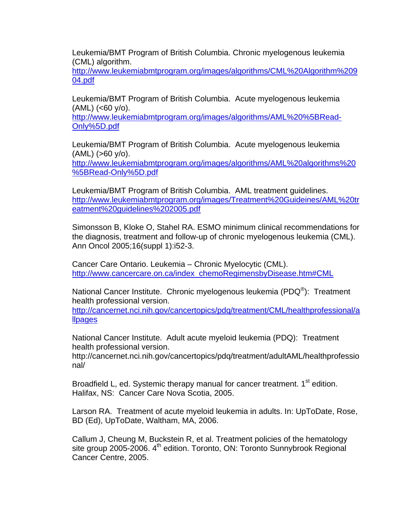Leukemia/BMT Program of British Columbia. Chronic myelogenous leukemia (CML) algorithm.

http://www.leukemiabmtprogram.org/images/algorithms/CML%20Algorithm%209 04.pdf

Leukemia/BMT Program of British Columbia. Acute myelogenous leukemia  $(AML)$  (<60 y/o).

http://www.leukemiabmtprogram.org/images/algorithms/AML%20%5BRead-Only%5D.pdf

 Leukemia/BMT Program of British Columbia. Acute myelogenous leukemia  $(AML)$  ( $>60$   $y$ / $o$ ).

http://www.leukemiabmtprogram.org/images/algorithms/AML%20algorithms%20 %5BRead-Only%5D.pdf

 Leukemia/BMT Program of British Columbia. AML treatment guidelines. http://www.leukemiabmtprogram.org/images/Treatment%20Guideines/AML%20tr eatment%20guidelines%202005.pdf

 Simonsson B, Kloke O, Stahel RA. ESMO minimum clinical recommendations for the diagnosis, treatment and follow-up of chronic myelogenous leukemia (CML). Ann Oncol 2005;16(suppl 1):i52-3.

 Cancer Care Ontario. Leukemia – Chronic Myelocytic (CML). http://www.cancercare.on.ca/index\_chemoRegimensbyDisease.htm#CML

National Cancer Institute. Chronic myelogenous leukemia (PDQ<sup>®</sup>): Treatment health professional version.

http://cancernet.nci.nih.gov/cancertopics/pdq/treatment/CML/healthprofessional/a llpages

 National Cancer Institute. Adult acute myeloid leukemia (PDQ): Treatment health professional version.

http://cancernet.nci.nih.gov/cancertopics/pdq/treatment/adultAML/healthprofessio nal/

Broadfield L, ed. Systemic therapy manual for cancer treatment. 1<sup>st</sup> edition. Halifax, NS: Cancer Care Nova Scotia, 2005.

 Larson RA. Treatment of acute myeloid leukemia in adults. In: UpToDate, Rose, BD (Ed), UpToDate, Waltham, MA, 2006.

 Callum J, Cheung M, Buckstein R, et al. Treatment policies of the hematology site group 2005-2006. 4<sup>th</sup> edition. Toronto, ON: Toronto Sunnybrook Regional Cancer Centre, 2005.